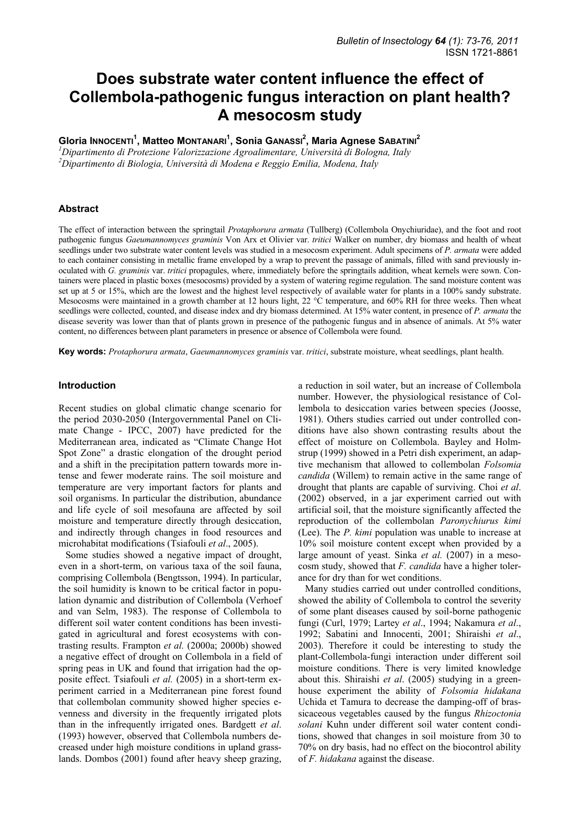# **Does substrate water content influence the effect of Collembola-pathogenic fungus interaction on plant health? A mesocosm study**

**Gloria INNOCENTI<sup>1</sup> , Matteo MONTANARI1 , Sonia GANASSI<sup>2</sup> , Maria Agnese SABATINI<sup>2</sup>**

*1 Dipartimento di Protezione Valorizzazione Agroalimentare, Università di Bologna, Italy 2 Dipartimento di Biologia, Università di Modena e Reggio Emilia, Modena, Italy* 

# **Abstract**

The effect of interaction between the springtail *Protaphorura armata* (Tullberg) (Collembola Onychiuridae), and the foot and root pathogenic fungus *Gaeumannomyces graminis* Von Arx et Olivier var. *tritici* Walker on number, dry biomass and health of wheat seedlings under two substrate water content levels was studied in a mesocosm experiment. Adult specimens of *P. armata* were added to each container consisting in metallic frame enveloped by a wrap to prevent the passage of animals, filled with sand previously inoculated with *G. graminis* var. *tritici* propagules, where, immediately before the springtails addition, wheat kernels were sown. Containers were placed in plastic boxes (mesocosms) provided by a system of watering regime regulation. The sand moisture content was set up at 5 or 15%, which are the lowest and the highest level respectively of available water for plants in a 100% sandy substrate. Mesocosms were maintained in a growth chamber at 12 hours light, 22 °C temperature, and 60% RH for three weeks. Then wheat seedlings were collected, counted, and disease index and dry biomass determined. At 15% water content, in presence of *P. armata* the disease severity was lower than that of plants grown in presence of the pathogenic fungus and in absence of animals. At 5% water content, no differences between plant parameters in presence or absence of Collembola were found.

**Key words:** *Protaphorura armata*, *Gaeumannomyces graminis* var. *tritici*, substrate moisture, wheat seedlings, plant health.

# **Introduction**

Recent studies on global climatic change scenario for the period 2030-2050 (Intergovernmental Panel on Climate Change - IPCC, 2007) have predicted for the Mediterranean area, indicated as "Climate Change Hot Spot Zone" a drastic elongation of the drought period and a shift in the precipitation pattern towards more intense and fewer moderate rains. The soil moisture and temperature are very important factors for plants and soil organisms. In particular the distribution, abundance and life cycle of soil mesofauna are affected by soil moisture and temperature directly through desiccation, and indirectly through changes in food resources and microhabitat modifications (Tsiafouli *et al*., 2005).

Some studies showed a negative impact of drought, even in a short-term, on various taxa of the soil fauna, comprising Collembola (Bengtsson, 1994). In particular, the soil humidity is known to be critical factor in population dynamic and distribution of Collembola (Verhoef and van Selm, 1983). The response of Collembola to different soil water content conditions has been investigated in agricultural and forest ecosystems with contrasting results. Frampton *et al.* (2000a; 2000b) showed a negative effect of drought on Collembola in a field of spring peas in UK and found that irrigation had the opposite effect. Tsiafouli *et al.* (2005) in a short-term experiment carried in a Mediterranean pine forest found that collembolan community showed higher species evenness and diversity in the frequently irrigated plots than in the infrequently irrigated ones. Bardgett *et al*. (1993) however, observed that Collembola numbers decreased under high moisture conditions in upland grasslands. Dombos (2001) found after heavy sheep grazing, a reduction in soil water, but an increase of Collembola number. However, the physiological resistance of Collembola to desiccation varies between species (Joosse, 1981). Others studies carried out under controlled conditions have also shown contrasting results about the effect of moisture on Collembola. Bayley and Holmstrup (1999) showed in a Petri dish experiment, an adaptive mechanism that allowed to collembolan *Folsomia candida* (Willem) to remain active in the same range of drought that plants are capable of surviving. Choi *et al*. (2002) observed, in a jar experiment carried out with artificial soil, that the moisture significantly affected the reproduction of the collembolan *Paronychiurus kimi*  (Lee). The *P. kimi* population was unable to increase at 10% soil moisture content except when provided by a large amount of yeast. Sinka *et al.* (2007) in a mesocosm study, showed that *F. candida* have a higher tolerance for dry than for wet conditions.

Many studies carried out under controlled conditions, showed the ability of Collembola to control the severity of some plant diseases caused by soil-borne pathogenic fungi (Curl, 1979; Lartey *et al*., 1994; Nakamura *et al*., 1992; Sabatini and Innocenti, 2001; Shiraishi *et al*., 2003). Therefore it could be interesting to study the plant-Collembola-fungi interaction under different soil moisture conditions. There is very limited knowledge about this. Shiraishi *et al*. (2005) studying in a greenhouse experiment the ability of *Folsomia hidakana* Uchida et Tamura to decrease the damping-off of brassicaceous vegetables caused by the fungus *Rhizoctonia solani* Kuhn under different soil water content conditions, showed that changes in soil moisture from 30 to 70% on dry basis, had no effect on the biocontrol ability of *F. hidakana* against the disease.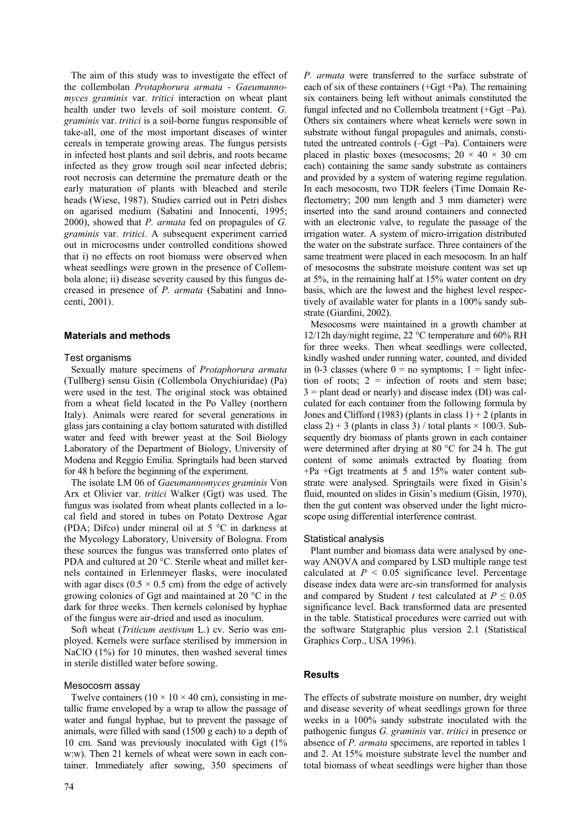The aim of this study was to investigate the effect of the collembolan *Protaphorura armata* - *Gaeumannomyces graminis* var. *tritici* interaction on wheat plant health under two levels of soil moisture content. *G. graminis* var. *tritici* is a soil-borne fungus responsible of take-all, one of the most important diseases of winter cereals in temperate growing areas. The fungus persists in infected host plants and soil debris, and roots became infected as they grow trough soil near infected debris; root necrosis can determine the premature death or the early maturation of plants with bleached and sterile heads (Wiese, 1987). Studies carried out in Petri dishes on agarised medium (Sabatini and Innocenti, 1995; 2000), showed that *P. armata* fed on propagules of *G. graminis* var. *tritici*. A subsequent experiment carried out in microcosms under controlled conditions showed that i) no effects on root biomass were observed when wheat seedlings were grown in the presence of Collembola alone; ii) disease severity caused by this fungus decreased in presence of *P. armata* (Sabatini and Innocenti, 2001).

## **Materials and methods**

#### Test organisms

Sexually mature specimens of *Protaphorura armata*  (Tullberg) sensu Gisin (Collembola Onychiuridae) (Pa) were used in the test. The original stock was obtained from a wheat field located in the Po Valley (northern Italy). Animals were reared for several generations in glass jars containing a clay bottom saturated with distilled water and feed with brewer yeast at the Soil Biology Laboratory of the Department of Biology, University of Modena and Reggio Emilia. Springtails had been starved for 48 h before the beginning of the experiment.

The isolate LM 06 of *Gaeumannomyces graminis* Von Arx et Olivier var. *tritici* Walker (Ggt) was used. The fungus was isolated from wheat plants collected in a local field and stored in tubes on Potato Dextrose Agar (PDA; Difco) under mineral oil at 5 °C in darkness at the Mycology Laboratory, University of Bologna. From these sources the fungus was transferred onto plates of PDA and cultured at 20 °C. Sterile wheat and millet kernels contained in Erlenmeyer flasks, were inoculated with agar discs ( $0.5 \times 0.5$  cm) from the edge of actively growing colonies of Ggt and maintained at 20 °C in the dark for three weeks. Then kernels colonised by hyphae of the fungus were air-dried and used as inoculum.

Soft wheat (*Triticum aestivum* L.) cv. Serio was employed. Kernels were surface sterilised by immersion in NaClO (1%) for 10 minutes, then washed several times in sterile distilled water before sowing.

#### Mesocosm assay

Twelve containers ( $10 \times 10 \times 40$  cm), consisting in metallic frame enveloped by a wrap to allow the passage of water and fungal hyphae, but to prevent the passage of animals, were filled with sand (1500 g each) to a depth of 10 cm. Sand was previously inoculated with Ggt (1% w:w). Then 21 kernels of wheat were sown in each container. Immediately after sowing, 350 specimens of *P. armata* were transferred to the surface substrate of each of six of these containers (+Ggt +Pa). The remaining six containers being left without animals constituted the fungal infected and no Collembola treatment (+Ggt –Pa). Others six containers where wheat kernels were sown in substrate without fungal propagules and animals, constituted the untreated controls (–Ggt –Pa). Containers were placed in plastic boxes (mesocosms;  $20 \times 40 \times 30$  cm each) containing the same sandy substrate as containers and provided by a system of watering regime regulation. In each mesocosm, two TDR feelers (Time Domain Reflectometry; 200 mm length and 3 mm diameter) were inserted into the sand around containers and connected with an electronic valve, to regulate the passage of the irrigation water. A system of micro-irrigation distributed the water on the substrate surface. Three containers of the same treatment were placed in each mesocosm. In an half of mesocosms the substrate moisture content was set up at 5%, in the remaining half at 15% water content on dry basis, which are the lowest and the highest level respectively of available water for plants in a 100% sandy substrate (Giardini, 2002).

Mesocosms were maintained in a growth chamber at 12/12h day/night regime, 22 °C temperature and 60% RH for three weeks. Then wheat seedlings were collected, kindly washed under running water, counted, and divided in 0-3 classes (where  $0 =$  no symptoms;  $1 =$  light infection of roots;  $2 =$  infection of roots and stem base;  $3$  = plant dead or nearly) and disease index (DI) was calculated for each container from the following formula by Jones and Clifford (1983) (plants in class  $1+2$  (plants in class 2) + 3 (plants in class 3) / total plants  $\times$  100/3. Subsequently dry biomass of plants grown in each container were determined after drying at 80 °C for 24 h. The gut content of some animals extracted by floating from +Pa +Ggt treatments at 5 and 15% water content substrate were analysed. Springtails were fixed in Gisin's fluid, mounted on slides in Gisin's medium (Gisin, 1970). then the gut content was observed under the light microscope using differential interference contrast.

#### Statistical analysis

Plant number and biomass data were analysed by oneway ANOVA and compared by LSD multiple range test calculated at  $P < 0.05$  significance level. Percentage disease index data were arc-sin transformed for analysis and compared by Student *t* test calculated at  $P \leq 0.05$ significance level. Back transformed data are presented in the table. Statistical procedures were carried out with the software Statgraphic plus version 2.1 (Statistical Graphics Corp., USA 1996).

## **Results**

The effects of substrate moisture on number, dry weight and disease severity of wheat seedlings grown for three weeks in a 100% sandy substrate inoculated with the pathogenic fungus *G. graminis* var. *tritici* in presence or absence of *P. armata* specimens, are reported in tables 1 and 2. At 15% moisture substrate level the number and total biomass of wheat seedlings were higher than those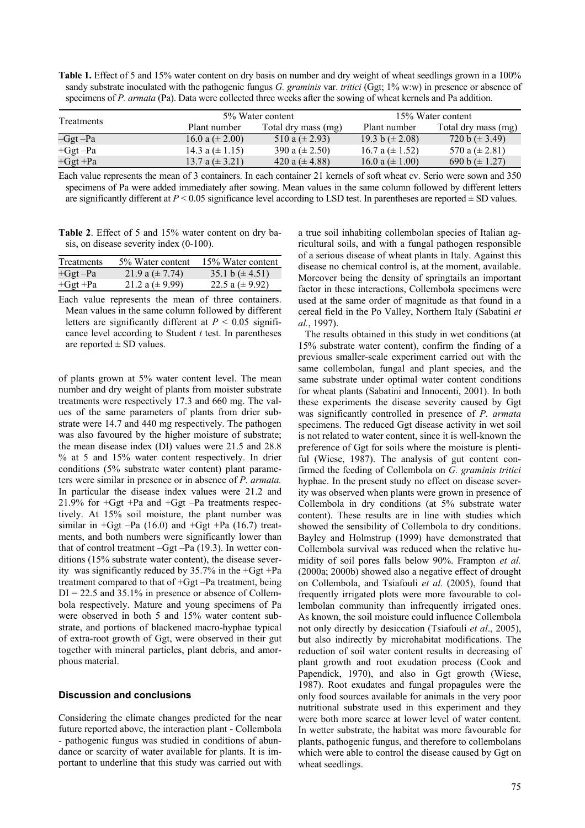**Table 1.** Effect of 5 and 15% water content on dry basis on number and dry weight of wheat seedlings grown in a 100% sandy substrate inoculated with the pathogenic fungus *G. graminis* var. *tritici* (Ggt; 1% w:w) in presence or absence of specimens of *P. armata* (Pa). Data were collected three weeks after the sowing of wheat kernels and Pa addition.

| <b>Treatments</b> | 5% Water content    |                     | 15% Water content   |                     |
|-------------------|---------------------|---------------------|---------------------|---------------------|
|                   | Plant number        | Total dry mass (mg) | Plant number        | Total dry mass (mg) |
| -Ggt -Pa          | 16.0 a $(\pm 2.00)$ | 510 a $(\pm 2.93)$  | $19.3 b (\pm 2.08)$ | $720 b (\pm 3.49)$  |
| $+Ggt-Pa$         | 14.3 a $(\pm 1.15)$ | 390 a $(\pm 2.50)$  | 16.7 a $(\pm 1.52)$ | 570 a $(\pm 2.81)$  |
| $+Ggt +Pa$        | 13.7 a $(\pm 3.21)$ | 420 a $(\pm 4.88)$  | $16.0 a (\pm 1.00)$ | 690 b $(\pm 1.27)$  |

Each value represents the mean of 3 containers. In each container 21 kernels of soft wheat cv. Serio were sown and 350 specimens of Pa were added immediately after sowing. Mean values in the same column followed by different letters are significantly different at  $P \le 0.05$  significance level according to LSD test. In parentheses are reported  $\pm$  SD values.

**Table 2**. Effect of 5 and 15% water content on dry basis, on disease severity index (0-100).

| <b>Treatments</b> | 5% Water content    | 15% Water content   |
|-------------------|---------------------|---------------------|
| $+Ggt-Pa$         | $21.9 a (\pm 7.74)$ | 35.1 b $(\pm 4.51)$ |
| $+Ggt +Pa$        | 21.2 a $(\pm 9.99)$ | 22.5 a $(\pm 9.92)$ |

Each value represents the mean of three containers. Mean values in the same column followed by different letters are significantly different at  $P < 0.05$  significance level according to Student *t* test. In parentheses are reported  $\pm$  SD values.

of plants grown at 5% water content level. The mean number and dry weight of plants from moister substrate treatments were respectively 17.3 and 660 mg. The values of the same parameters of plants from drier substrate were 14.7 and 440 mg respectively. The pathogen was also favoured by the higher moisture of substrate; the mean disease index (DI) values were 21.5 and 28.8 % at 5 and 15% water content respectively. In drier conditions (5% substrate water content) plant parameters were similar in presence or in absence of *P. armata.*  In particular the disease index values were 21.2 and 21.9% for  $+Ggt +Pa$  and  $+Ggt -Pa$  treatments respectively. At 15% soil moisture, the plant number was similar in  $+Ggt$  –Pa (16.0) and  $+Ggt$  +Pa (16.7) treatments, and both numbers were significantly lower than that of control treatment –Ggt –Pa (19.3). In wetter conditions (15% substrate water content), the disease severity was significantly reduced by 35.7% in the +Ggt +Pa treatment compared to that of +Ggt –Pa treatment, being  $DI = 22.5$  and 35.1% in presence or absence of Collembola respectively. Mature and young specimens of Pa were observed in both 5 and 15% water content substrate, and portions of blackened macro-hyphae typical of extra-root growth of Ggt, were observed in their gut together with mineral particles, plant debris, and amorphous material.

#### **Discussion and conclusions**

Considering the climate changes predicted for the near future reported above, the interaction plant - Collembola - pathogenic fungus was studied in conditions of abundance or scarcity of water available for plants. It is important to underline that this study was carried out with a true soil inhabiting collembolan species of Italian agricultural soils, and with a fungal pathogen responsible of a serious disease of wheat plants in Italy. Against this disease no chemical control is, at the moment, available. Moreover being the density of springtails an important factor in these interactions, Collembola specimens were used at the same order of magnitude as that found in a cereal field in the Po Valley, Northern Italy (Sabatini *et al.*, 1997).

The results obtained in this study in wet conditions (at 15% substrate water content), confirm the finding of a previous smaller-scale experiment carried out with the same collembolan, fungal and plant species, and the same substrate under optimal water content conditions for wheat plants (Sabatini and Innocenti, 2001). In both these experiments the disease severity caused by Ggt was significantly controlled in presence of *P. armata* specimens. The reduced Ggt disease activity in wet soil is not related to water content, since it is well-known the preference of Ggt for soils where the moisture is plentiful (Wiese, 1987). The analysis of gut content confirmed the feeding of Collembola on *G. graminis tritici* hyphae. In the present study no effect on disease severity was observed when plants were grown in presence of Collembola in dry conditions (at 5% substrate water content). These results are in line with studies which showed the sensibility of Collembola to dry conditions. Bayley and Holmstrup (1999) have demonstrated that Collembola survival was reduced when the relative humidity of soil pores falls below 90%. Frampton *et al.* (2000a; 2000b) showed also a negative effect of drought on Collembola, and Tsiafouli *et al.* (2005), found that frequently irrigated plots were more favourable to collembolan community than infrequently irrigated ones. As known, the soil moisture could influence Collembola not only directly by desiccation (Tsiafouli *et al*., 2005), but also indirectly by microhabitat modifications. The reduction of soil water content results in decreasing of plant growth and root exudation process (Cook and Papendick, 1970), and also in Ggt growth (Wiese, 1987). Root exudates and fungal propagules were the only food sources available for animals in the very poor nutritional substrate used in this experiment and they were both more scarce at lower level of water content. In wetter substrate, the habitat was more favourable for plants, pathogenic fungus, and therefore to collembolans which were able to control the disease caused by Ggt on wheat seedlings.